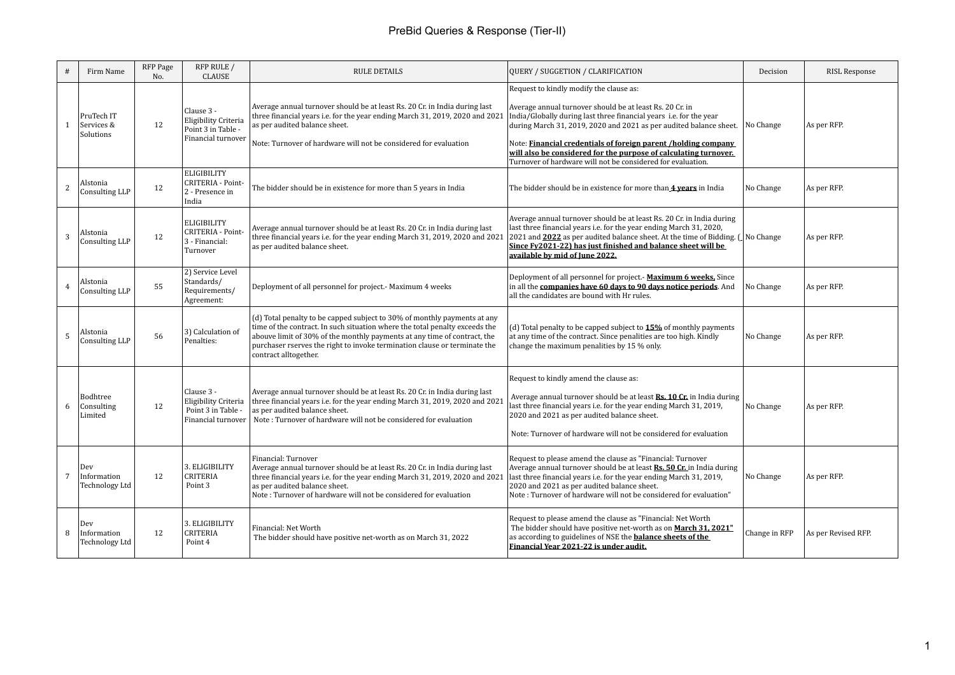| #              | Firm Name                                   | RFP Page<br>No. | RFP RULE /<br><b>CLAUSE</b>                                                           | <b>RULE DETAILS</b>                                                                                                                                                                                                                                                                                                                       | QUERY / SUGGETION / CLARIFICATION                                                                                                                                                                                                                                                                                                                                                                                                                              | Decision      | <b>RISL Response</b> |
|----------------|---------------------------------------------|-----------------|---------------------------------------------------------------------------------------|-------------------------------------------------------------------------------------------------------------------------------------------------------------------------------------------------------------------------------------------------------------------------------------------------------------------------------------------|----------------------------------------------------------------------------------------------------------------------------------------------------------------------------------------------------------------------------------------------------------------------------------------------------------------------------------------------------------------------------------------------------------------------------------------------------------------|---------------|----------------------|
| 1              | PruTech IT<br>Services &<br>Solutions       | 12              | Clause 3 -<br>Eligibility Criteria<br>Point 3 in Table -<br><b>Financial turnover</b> | Average annual turnover should be at least Rs. 20 Cr. in India during last<br>three financial years i.e. for the year ending March 31, 2019, 2020 and 2021<br>as per audited balance sheet.<br>Note: Turnover of hardware will not be considered for evaluation                                                                           | Request to kindly modify the clause as:<br>Average annual turnover should be at least Rs. 20 Cr. in<br>India/Globally during last three financial years i.e. for the year<br>during March 31, 2019, 2020 and 2021 as per audited balance sheet. No Change<br>Note: Financial credentials of foreign parent /holding company<br>will also be considered for the purpose of calculating turnover.<br>Turnover of hardware will not be considered for evaluation. |               | As per RFP.          |
| 2              | Alstonia<br>Consulting LLP                  | 12              | <b>ELIGIBILITY</b><br>CRITERIA - Point-<br>2 - Presence in<br>India                   | The bidder should be in existence for more than 5 years in India                                                                                                                                                                                                                                                                          | The bidder should be in existence for more than 4 years in India                                                                                                                                                                                                                                                                                                                                                                                               | No Change     | As per RFP.          |
| 3              | Alstonia<br>Consulting LLP                  | 12              | <b>ELIGIBILITY</b><br>CRITERIA - Point-<br>3 - Financial:<br>Turnover                 | Average annual turnover should be at least Rs. 20 Cr. in India during last<br>three financial years i.e. for the year ending March 31, 2019, 2020 and 2021<br>as per audited balance sheet.                                                                                                                                               | Average annual turnover should be at least Rs. 20 Cr. in India during<br>last three financial years i.e. for the year ending March 31, 2020,<br>2021 and 2022 as per audited balance sheet. At the time of Bidding. (No Change<br>Since Fy2021-22) has just finished and balance sheet will be<br>available by mid of June 2022.                                                                                                                               |               | As per RFP.          |
| $\overline{4}$ | Alstonia<br>Consulting LLP                  | 55              | 2) Service Level<br>Standards/<br>Requirements/<br>Agreement:                         | Deployment of all personnel for project.- Maximum 4 weeks                                                                                                                                                                                                                                                                                 | Deployment of all personnel for project.- Maximum 6 weeks, Since<br>in all the companies have 60 days to 90 days notice periods. And<br>all the candidates are bound with Hr rules.                                                                                                                                                                                                                                                                            | No Change     | As per RFP.          |
| 5              | Alstonia<br>Consulting LLP                  | 56              | 3) Calculation of<br>Penalties:                                                       | (d) Total penalty to be capped subject to 30% of monthly payments at any<br>time of the contract. In such situation where the total penalty exceeds the<br>abouve limit of 30% of the monthly payments at any time of contract, the<br>purchaser rserves the right to invoke termination clause or terminate the<br>contract alltogether. | (d) Total penalty to be capped subject to $15\%$ of monthly payments<br>at any time of the contract. Since penalities are too high. Kindly<br>change the maximum penalities by 15 % only.                                                                                                                                                                                                                                                                      | No Change     | As per RFP.          |
| 6              | Bodhtree<br>Consulting<br>Limited           | 12              | Clause 3 -<br>Eligibility Criteria<br>Point 3 in Table -<br>Financial turnover        | Average annual turnover should be at least Rs. 20 Cr. in India during last<br>three financial years i.e. for the year ending March 31, 2019, 2020 and 2021<br>as per audited balance sheet.<br>Note: Turnover of hardware will not be considered for evaluation                                                                           | Request to kindly amend the clause as:<br>Average annual turnover should be at least Rs. 10 Cr. in India during<br>last three financial years i.e. for the year ending March 31, 2019,<br>2020 and 2021 as per audited balance sheet.<br>Note: Turnover of hardware will not be considered for evaluation                                                                                                                                                      | No Change     | As per RFP.          |
| 7              | Dev<br>Information<br><b>Technology Ltd</b> | 12              | 3. ELIGIBILITY<br><b>CRITERIA</b><br>Point 3                                          | Financial: Turnover<br>Average annual turnover should be at least Rs. 20 Cr. in India during last<br>three financial years i.e. for the year ending March 31, 2019, 2020 and 2021<br>as per audited balance sheet.<br>Note: Turnover of hardware will not be considered for evaluation                                                    | Request to please amend the clause as "Financial: Turnover<br>Average annual turnover should be at least Rs. 50 Cr. in India during<br>last three financial years i.e. for the year ending March 31, 2019,<br>2020 and 2021 as per audited balance sheet.<br>Note: Turnover of hardware will not be considered for evaluation"                                                                                                                                 | No Change     | As per RFP.          |
| 8              | Dev<br>Information<br>Technology Ltd        | 12              | 3. ELIGIBILITY<br><b>CRITERIA</b><br>Point 4                                          | Financial: Net Worth<br>The bidder should have positive net-worth as on March 31, 2022                                                                                                                                                                                                                                                    | Request to please amend the clause as "Financial: Net Worth<br>The bidder should have positive net-worth as on March 31, 2021"<br>as according to guidelines of NSE the <b>balance sheets of the</b><br>Financial Year 2021-22 is under audit.                                                                                                                                                                                                                 | Change in RFP | As per Revised RFP.  |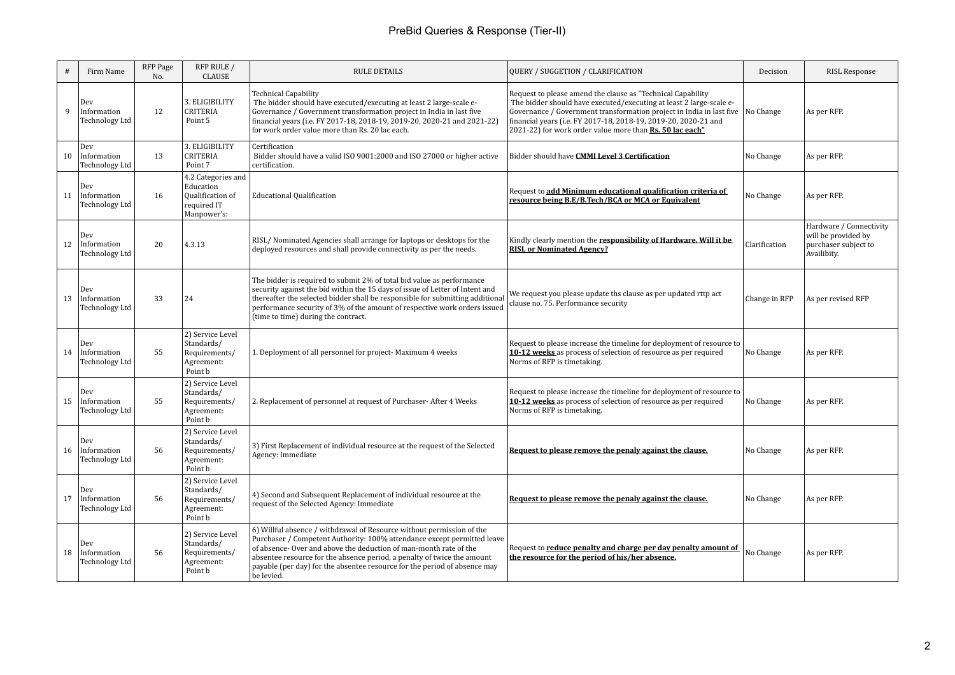|    | Firm Name                                   | RFP Page<br>No. | RFP RULE /<br>CLAUSE                                                              | <b>RULE DETAILS</b>                                                                                                                                                                                                                                                                                                                                                                        | QUERY / SUGGETION / CLARIFICATION                                                                                                                                                                                                                                                                                                                   | Decision      | <b>RISL Response</b>                                                                  |
|----|---------------------------------------------|-----------------|-----------------------------------------------------------------------------------|--------------------------------------------------------------------------------------------------------------------------------------------------------------------------------------------------------------------------------------------------------------------------------------------------------------------------------------------------------------------------------------------|-----------------------------------------------------------------------------------------------------------------------------------------------------------------------------------------------------------------------------------------------------------------------------------------------------------------------------------------------------|---------------|---------------------------------------------------------------------------------------|
| q  | Dev<br>Information<br><b>Technology Ltd</b> | 12              | 3. ELIGIBILITY<br><b>CRITERIA</b><br>Point 5                                      | <b>Technical Capability</b><br>The bidder should have executed/executing at least 2 large-scale e-<br>Governance / Government transformation project in India in last five<br>financial years (i.e. FY 2017-18, 2018-19, 2019-20, 2020-21 and 2021-22)<br>for work order value more than Rs. 20 lac each.                                                                                  | Request to please amend the clause as "Technical Capability<br>The bidder should have executed/executing at least 2 large-scale e-<br>Governance / Government transformation project in India in last five No Change<br>financial years (i.e. FY 2017-18, 2018-19, 2019-20, 2020-21 and<br>2021-22) for work order value more than Rs. 50 lac each" |               | As per RFP.                                                                           |
| 10 | Dev<br>Information<br><b>Technology Ltd</b> | 13              | 3. ELIGIBILITY<br><b>CRITERIA</b><br>Point 7                                      | Certification<br>Bidder should have a valid ISO 9001:2000 and ISO 27000 or higher active<br>certification.                                                                                                                                                                                                                                                                                 | Bidder should have CMMI Level 3 Certification                                                                                                                                                                                                                                                                                                       | No Change     | As per RFP.                                                                           |
| 11 | Dev<br>Information<br><b>Technology Ltd</b> | 16              | 4.2 Categories and<br>Education<br>Qualification of<br>required IT<br>Manpower's: | <b>Educational Qualification</b>                                                                                                                                                                                                                                                                                                                                                           | Request to add Minimum educational qualification criteria of<br>resource being B.E/B.Tech/BCA or MCA or Equivalent                                                                                                                                                                                                                                  | No Change     | As per RFP.                                                                           |
| 12 | Dev<br>Information<br><b>Technology Ltd</b> | 20              | 4.3.13                                                                            | RISL/Nominated Agencies shall arrange for laptops or desktops for the<br>deployed resources and shall provide connectivity as per the needs.                                                                                                                                                                                                                                               | Kindly clearly mention the responsibility of Hardware. Will it be<br><b>RISL or Nominated Agency?</b>                                                                                                                                                                                                                                               | Clarification | Hardware / Connectivity<br>will be provided by<br>purchaser subject to<br>Availibity. |
| 13 | Dev<br>Information<br>Technology Ltd        | 33              | 24                                                                                | The bidder is required to submit 2% of total bid value as performance<br>security against the bid within the 15 days of issue of Letter of Intent and<br>thereafter the selected bidder shall be responsible for submitting additional<br>performance security of 3% of the amount of respective work orders issued<br>(time to time) during the contract.                                 | We request you please update ths clause as per updated rttp act<br>clause no. 75. Performance security                                                                                                                                                                                                                                              | Change in RFP | As per revised RFP                                                                    |
| 14 | Dev<br>Information<br>Technology Ltd        | 55              | 2) Service Level<br>Standards/<br>Requirements/<br>Agreement:<br>Point b          | 1. Deployment of all personnel for project- Maximum 4 weeks                                                                                                                                                                                                                                                                                                                                | Request to please increase the timeline for deployment of resource to<br>10-12 weeks as process of selection of resource as per required<br>Norms of RFP is timetaking.                                                                                                                                                                             | No Change     | As per RFP.                                                                           |
| 15 | Dev<br>Information<br><b>Technology Ltd</b> | 55              | 2) Service Level<br>Standards/<br>Requirements/<br>Agreement:<br>Point b          | 2. Replacement of personnel at request of Purchaser-After 4 Weeks                                                                                                                                                                                                                                                                                                                          | Request to please increase the timeline for deployment of resource to<br>10-12 weeks as process of selection of resource as per required<br>Norms of RFP is timetaking.                                                                                                                                                                             | No Change     | As per RFP.                                                                           |
| 16 | Dev<br>Information<br><b>Technology Ltd</b> | 56              | 2) Service Level<br>Standards/<br>Requirements/<br>Agreement:<br>Point b          | 3) First Replacement of individual resource at the request of the Selected<br>Agency: Immediate                                                                                                                                                                                                                                                                                            | Request to please remove the penaly against the clause.                                                                                                                                                                                                                                                                                             | No Change     | As per RFP.                                                                           |
| 17 | Dev<br>Information<br>Technology Ltd        | 56              | 2) Service Level<br>Standards/<br>Requirements/<br>Agreement:<br>Point b          | 4) Second and Subsequent Replacement of individual resource at the<br>request of the Selected Agency: Immediate                                                                                                                                                                                                                                                                            | Request to please remove the penaly against the clause.                                                                                                                                                                                                                                                                                             | No Change     | As per RFP.                                                                           |
| 18 | Dev<br>Information<br>Technology Ltd        | 56              | 2) Service Level<br>Standards/<br>Requirements/<br>Agreement:<br>Point b          | 6) Willful absence / withdrawal of Resource without permission of the<br>Purchaser / Competent Authority: 100% attendance except permitted leave<br>of absence-Over and above the deduction of man-month rate of the<br>absentee resource for the absence period, a penalty of twice the amount<br>payable (per day) for the absentee resource for the period of absence may<br>be levied. | Request to <b>reduce penalty and charge per day penalty amount of</b><br>the resource for the period of his/her absence.                                                                                                                                                                                                                            | No Change     | As per RFP.                                                                           |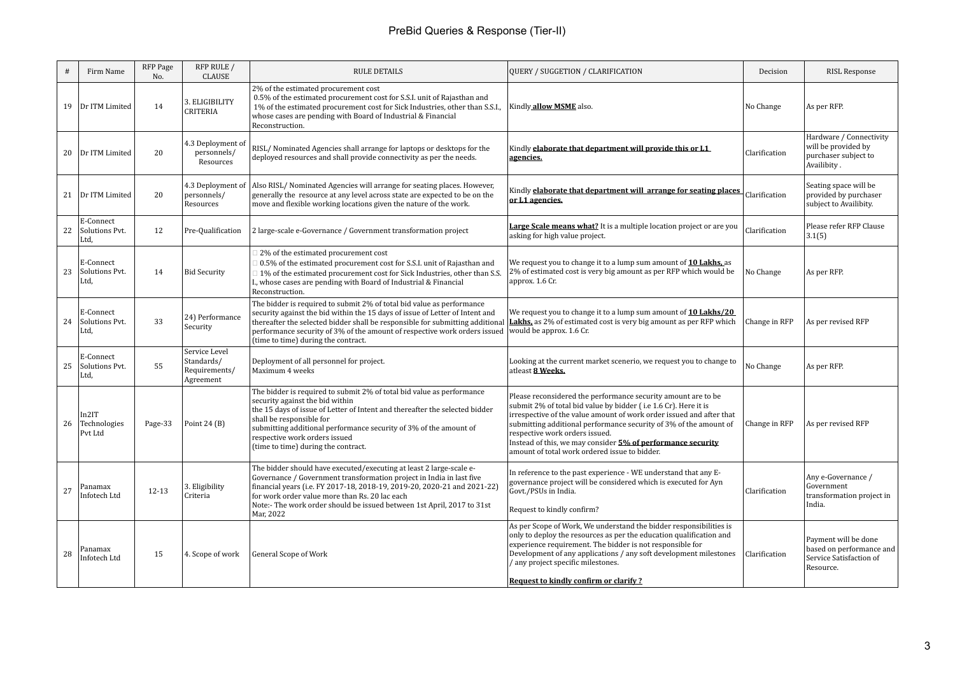| #  | Firm Name                           | RFP Page<br>No. | RFP RULE /<br><b>CLAUSE</b>                               | <b>RULE DETAILS</b>                                                                                                                                                                                                                                                                                                                                              | QUERY / SUGGETION / CLARIFICATION                                                                                                                                                                                                                                                                                                                                                                                               | Decision      | <b>RISL Response</b>                                                                     |
|----|-------------------------------------|-----------------|-----------------------------------------------------------|------------------------------------------------------------------------------------------------------------------------------------------------------------------------------------------------------------------------------------------------------------------------------------------------------------------------------------------------------------------|---------------------------------------------------------------------------------------------------------------------------------------------------------------------------------------------------------------------------------------------------------------------------------------------------------------------------------------------------------------------------------------------------------------------------------|---------------|------------------------------------------------------------------------------------------|
| 19 | Dr ITM Limited                      | 14              | 3. ELIGIBILITY<br>CRITERIA                                | 2% of the estimated procurement cost<br>0.5% of the estimated procurement cost for S.S.I. unit of Rajasthan and<br>1% of the estimated procurement cost for Sick Industries, other than S.S.I.,<br>whose cases are pending with Board of Industrial & Financial<br>Reconstruction.                                                                               | Kindly allow MSME also.                                                                                                                                                                                                                                                                                                                                                                                                         | No Change     | As per RFP.                                                                              |
| 20 | Dr ITM Limited                      | 20              | 4.3 Deployment of<br>personnels/<br>Resources             | RISL/Nominated Agencies shall arrange for laptops or desktops for the<br>deployed resources and shall provide connectivity as per the needs.                                                                                                                                                                                                                     | Kindly elaborate that department will provide this or L1<br>agencies.                                                                                                                                                                                                                                                                                                                                                           | Clarification | Hardware / Connectivity<br>will be provided by<br>purchaser subject to<br>Availibity.    |
|    | 21 Dr ITM Limited                   | 20              | 4.3 Deployment of<br>personnels/<br>Resources             | Also RISL/ Nominated Agencies will arrange for seating places. However,<br>generally the resource at any level across state are expected to be on the<br>move and flexible working locations given the nature of the work.                                                                                                                                       | Kindly <b>elaborate that department will arrange for seating places</b><br>or L1 agencies.                                                                                                                                                                                                                                                                                                                                      | Clarification | Seating space will be<br>provided by purchaser<br>subject to Availibity.                 |
| 22 | E-Connect<br>Solutions Pvt.<br>Ltd, | 12              | Pre-Qualification                                         | 2 large-scale e-Governance / Government transformation project                                                                                                                                                                                                                                                                                                   | Large Scale means what? It is a multiple location project or are you<br>asking for high value project.                                                                                                                                                                                                                                                                                                                          | Clarification | Please refer RFP Clause<br>3.1(5)                                                        |
| 23 | E-Connect<br>Solutions Pvt.<br>Ltd, | 14              | <b>Bid Security</b>                                       | 2% of the estimated procurement cost<br>0.5% of the estimated procurement cost for S.S.I. unit of Rajasthan and<br>1% of the estimated procurement cost for Sick Industries, other than S.S.<br>I., whose cases are pending with Board of Industrial & Financial<br>Reconstruction.                                                                              | We request you to change it to a lump sum amount of 10 Lakhs, as<br>2% of estimated cost is very big amount as per RFP which would be<br>approx. 1.6 Cr.                                                                                                                                                                                                                                                                        | No Change     | As per RFP.                                                                              |
| 24 | E-Connect<br>Solutions Pvt.<br>Ltd, | 33              | 24) Performance<br>Security                               | The bidder is required to submit 2% of total bid value as performance<br>security against the bid within the 15 days of issue of Letter of Intent and<br>thereafter the selected bidder shall be responsible for submitting additional<br>performance security of 3% of the amount of respective work orders issued<br>(time to time) during the contract.       | We request you to change it to a lump sum amount of 10 Lakhs/20<br><b>Lakhs</b> , as 2% of estimated cost is very big amount as per RFP which<br>would be approx. 1.6 Cr.                                                                                                                                                                                                                                                       | Change in RFP | As per revised RFP                                                                       |
| 25 | E-Connect<br>Solutions Pvt.<br>Ltd, | 55              | Service Level<br>Standards/<br>Requirements/<br>Agreement | Deployment of all personnel for project.<br>Maximum 4 weeks                                                                                                                                                                                                                                                                                                      | Looking at the current market scenerio, we request you to change to<br>atleast 8 Weeks.                                                                                                                                                                                                                                                                                                                                         | No Change     | As per RFP.                                                                              |
| 26 | In2IT<br>Technologies<br>Pvt Ltd    | Page-33         | Point $24(B)$                                             | The bidder is required to submit 2% of total bid value as performance<br>security against the bid within<br>the 15 days of issue of Letter of Intent and thereafter the selected bidder<br>shall be responsible for<br>submitting additional performance security of 3% of the amount of<br>respective work orders issued<br>(time to time) during the contract. | Please reconsidered the performance security amount are to be<br>submit 2% of total bid value by bidder (i.e 1.6 Cr). Here it is<br>irrespective of the value amount of work order issued and after that<br>submitting additional performance security of 3% of the amount of<br>respective work orders issued.<br>Instead of this, we may consider 5% of performance security<br>amount of total work ordered issue to bidder. | Change in RFP | As per revised RFP                                                                       |
| 27 | Panamax<br>Infotech Ltd             | $12 - 13$       | 3. Eligibility<br>Criteria                                | The bidder should have executed/executing at least 2 large-scale e-<br>Governance / Government transformation project in India in last five<br>financial years (i.e. FY 2017-18, 2018-19, 2019-20, 2020-21 and 2021-22)<br>for work order value more than Rs. 20 lac each<br>Note:- The work order should be issued between 1st April, 2017 to 31st<br>Mar, 2022 | In reference to the past experience - WE understand that any E-<br>governance project will be considered which is executed for Ayn<br>Govt./PSUs in India.<br>Request to kindly confirm?                                                                                                                                                                                                                                        | Clarification | Any e-Governance /<br>Government<br>transformation project in<br>India.                  |
| 28 | Panamax<br>Infotech Ltd             | 15              | 4. Scope of work                                          | General Scope of Work                                                                                                                                                                                                                                                                                                                                            | As per Scope of Work, We understand the bidder responsibilities is<br>only to deploy the resources as per the education qualification and<br>experience requirement. The bidder is not responsible for<br>Development of any applications / any soft development milestones<br>/ any project specific milestones.<br>Request to kindly confirm or clarify?                                                                      | Clarification | Payment will be done<br>based on performance and<br>Service Satisfaction of<br>Resource. |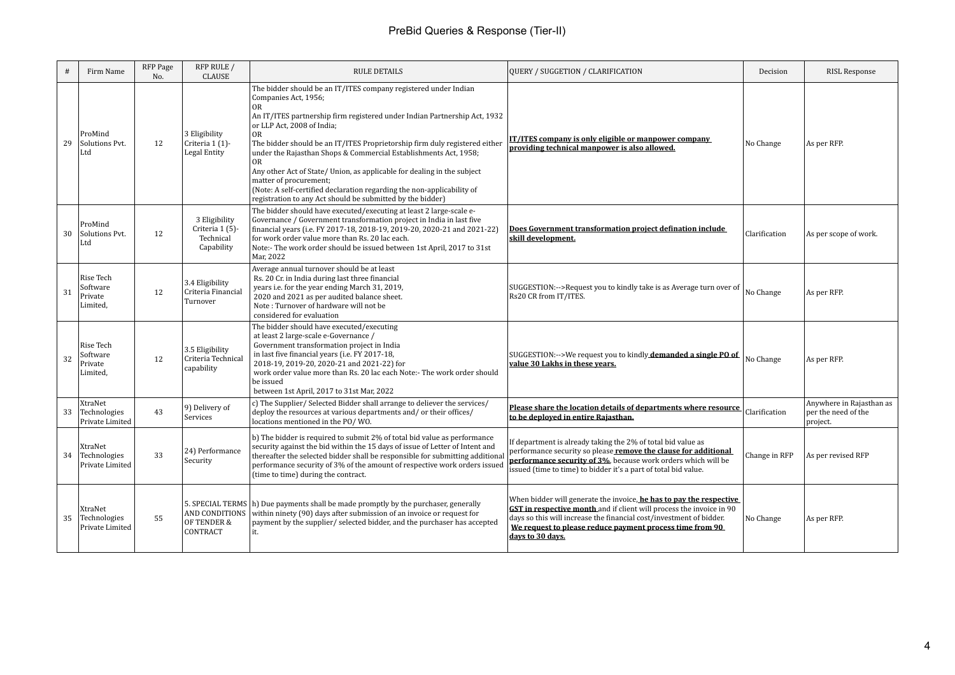| #  | Firm Name                                    | RFP Page<br>No. | RFP RULE /<br><b>CLAUSE</b>                                 | <b>RULE DETAILS</b>                                                                                                                                                                                                                                                                                                                                                                                                                                                                                                                                                                                                 | <b>QUERY / SUGGETION / CLARIFICATION</b>                                                                                                                                                                                                                                                                  | Decision      | <b>RISL Response</b>                                        |
|----|----------------------------------------------|-----------------|-------------------------------------------------------------|---------------------------------------------------------------------------------------------------------------------------------------------------------------------------------------------------------------------------------------------------------------------------------------------------------------------------------------------------------------------------------------------------------------------------------------------------------------------------------------------------------------------------------------------------------------------------------------------------------------------|-----------------------------------------------------------------------------------------------------------------------------------------------------------------------------------------------------------------------------------------------------------------------------------------------------------|---------------|-------------------------------------------------------------|
| 29 | ProMind<br>Solutions Pvt.<br>Ltd             | 12              | 3 Eligibility<br>Criteria 1 (1)-<br>Legal Entity            | The bidder should be an IT/ITES company registered under Indian<br>Companies Act, 1956;<br>OR<br>An IT/ITES partnership firm registered under Indian Partnership Act, 1932<br>or LLP Act, 2008 of India;<br>0R<br>The bidder should be an IT/ITES Proprietorship firm duly registered either<br>under the Rajasthan Shops & Commercial Establishments Act, 1958;<br>0R<br>Any other Act of State/ Union, as applicable for dealing in the subject<br>matter of procurement:<br>(Note: A self-certified declaration regarding the non-applicability of<br>registration to any Act should be submitted by the bidder) | <u>IT/ITES company is only eligible or manpower company</u><br>providing technical manpower is also allowed.                                                                                                                                                                                              | No Change     | As per RFP.                                                 |
| 30 | ProMind<br>Solutions Pvt.<br>Ltd             | 12              | 3 Eligibility<br>Criteria 1 (5)-<br>Technical<br>Capability | The bidder should have executed/executing at least 2 large-scale e-<br>Governance / Government transformation project in India in last five<br>financial years (i.e. FY 2017-18, 2018-19, 2019-20, 2020-21 and 2021-22)<br>for work order value more than Rs. 20 lac each.<br>Note:- The work order should be issued between 1st April, 2017 to 31st<br>Mar, 2022                                                                                                                                                                                                                                                   | Does Government transformation project defination include<br>skill development.                                                                                                                                                                                                                           | Clarification | As per scope of work.                                       |
| 31 | Rise Tech<br>Software<br>Private<br>Limited, | 12              | 3.4 Eligibility<br>Criteria Financial<br>Turnover           | Average annual turnover should be at least<br>Rs. 20 Cr. in India during last three financial<br>years i.e. for the year ending March 31, 2019,<br>2020 and 2021 as per audited balance sheet.<br>Note: Turnover of hardware will not be<br>considered for evaluation                                                                                                                                                                                                                                                                                                                                               | SUGGESTION:-->Request you to kindly take is as Average turn over of<br>Rs20 CR from IT/ITES.                                                                                                                                                                                                              | No Change     | As per RFP.                                                 |
| 32 | Rise Tech<br>Software<br>Private<br>Limited, | 12              | 3.5 Eligibility<br>Criteria Technical<br>capability         | The bidder should have executed/executing<br>at least 2 large-scale e-Governance /<br>Government transformation project in India<br>in last five financial years (i.e. FY 2017-18,<br>2018-19, 2019-20, 2020-21 and 2021-22) for<br>work order value more than Rs. 20 lac each Note:- The work order should<br>be issued<br>between 1st April, 2017 to 31st Mar, 2022                                                                                                                                                                                                                                               | SUGGESTION:-->We request you to kindly <b>demanded a single PO of</b> $\vert$ No Change<br>value 30 Lakhs in these vears.                                                                                                                                                                                 |               | As per RFP.                                                 |
| 33 | XtraNet<br>Technologies<br>Private Limited   | 43              | 9) Delivery of<br>Services                                  | c) The Supplier/Selected Bidder shall arrange to deliever the services/<br>deploy the resources at various departments and/ or their offices/<br>locations mentioned in the PO/WO.                                                                                                                                                                                                                                                                                                                                                                                                                                  | Please share the location details of departments where resource<br>to be deployed in entire Rajasthan.                                                                                                                                                                                                    | Clarification | Anywhere in Rajasthan as<br>per the need of the<br>project. |
| 34 | XtraNet<br>Technologies<br>Private Limited   | 33              | 24) Performance<br>Security                                 | b) The bidder is required to submit 2% of total bid value as performance<br>security against the bid within the 15 days of issue of Letter of Intent and<br>thereafter the selected bidder shall be responsible for submitting additional<br>performance security of 3% of the amount of respective work orders issued<br>(time to time) during the contract.                                                                                                                                                                                                                                                       | If department is already taking the 2% of total bid value as<br>performance security so please remove the clause for additional<br>performance security of 3%, because work orders which will be<br>issued (time to time) to bidder it's a part of total bid value.                                       | Change in RFP | As per revised RFP                                          |
| 35 | XtraNet<br>Technologies<br>Private Limited   | 55              | AND CONDITIONS<br>OF TENDER &<br>CONTRACT                   | 5. SPECIAL TERMS (h) Due payments shall be made promptly by the purchaser, generally<br>within ninety (90) days after submission of an invoice or request for<br>payment by the supplier/selected bidder, and the purchaser has accepted<br>it.                                                                                                                                                                                                                                                                                                                                                                     | When bidder will generate the invoice, <b>he has to pay the respective</b><br>GST in respective month and if client will process the invoice in 90<br>days so this will increase the financial cost/investment of bidder.<br>We request to please reduce payment process time from 90<br>davs to 30 davs. | No Change     | As per RFP.                                                 |